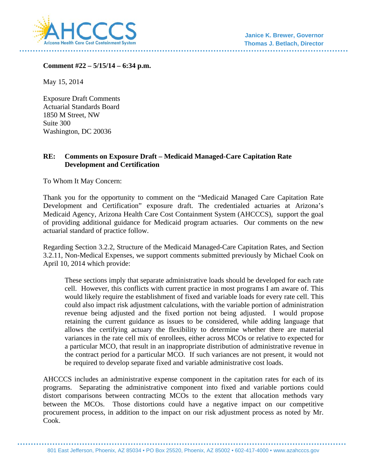

**Comment #22 – 5/15/14 – 6:34 p.m.** 

May 15, 2014

Exposure Draft Comments Actuarial Standards Board 1850 M Street, NW Suite 300 Washington, DC 20036

## **RE: Comments on Exposure Draft – Medicaid Managed-Care Capitation Rate Development and Certification**

To Whom It May Concern:

Thank you for the opportunity to comment on the "Medicaid Managed Care Capitation Rate Development and Certification" exposure draft. The credentialed actuaries at Arizona's Medicaid Agency, Arizona Health Care Cost Containment System (AHCCCS), support the goal of providing additional guidance for Medicaid program actuaries. Our comments on the new actuarial standard of practice follow.

Regarding Section 3.2.2, Structure of the Medicaid Managed-Care Capitation Rates, and Section 3.2.11, Non-Medical Expenses, we support comments submitted previously by Michael Cook on April 10, 2014 which provide:

These sections imply that separate administrative loads should be developed for each rate cell. However, this conflicts with current practice in most programs I am aware of. This would likely require the establishment of fixed and variable loads for every rate cell. This could also impact risk adjustment calculations, with the variable portion of administration revenue being adjusted and the fixed portion not being adjusted. I would propose retaining the current guidance as issues to be considered, while adding language that allows the certifying actuary the flexibility to determine whether there are material variances in the rate cell mix of enrollees, either across MCOs or relative to expected for a particular MCO, that result in an inappropriate distribution of administrative revenue in the contract period for a particular MCO. If such variances are not present, it would not be required to develop separate fixed and variable administrative cost loads.

AHCCCS includes an administrative expense component in the capitation rates for each of its programs. Separating the administrative component into fixed and variable portions could distort comparisons between contracting MCOs to the extent that allocation methods vary between the MCOs. Those distortions could have a negative impact on our competitive procurement process, in addition to the impact on our risk adjustment process as noted by Mr. Cook.